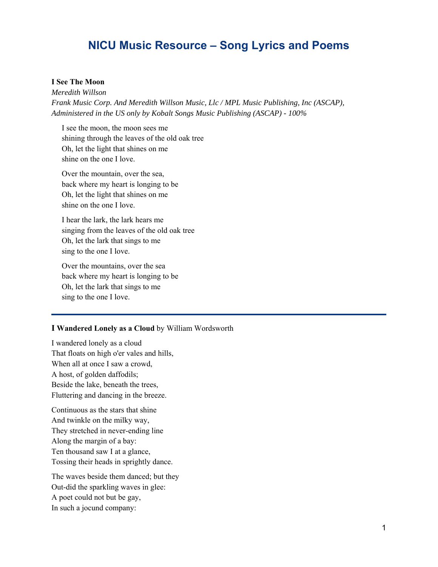### **I See The Moon**

*Meredith Willson Frank Music Corp. And Meredith Willson Music, Llc / MPL Music Publishing, Inc (ASCAP), Administered in the US only by Kobalt Songs Music Publishing (ASCAP) - 100%*

I see the moon, the moon sees me shining through the leaves of the old oak tree Oh, let the light that shines on me shine on the one I love.

Over the mountain, over the sea, back where my heart is longing to be Oh, let the light that shines on me shine on the one I love.

I hear the lark, the lark hears me singing from the leaves of the old oak tree Oh, let the lark that sings to me sing to the one I love.

Over the mountains, over the sea back where my heart is longing to be Oh, let the lark that sings to me sing to the one I love.

### **I Wandered Lonely as a Cloud** by William Wordsworth

I wandered lonely as a cloud That floats on high o'er vales and hills, When all at once I saw a crowd, A host, of golden daffodils; Beside the lake, beneath the trees, Fluttering and dancing in the breeze.

Continuous as the stars that shine And twinkle on the milky way, They stretched in never-ending line Along the margin of a bay: Ten thousand saw I at a glance, Tossing their heads in sprightly dance.

The waves beside them danced; but they Out-did the sparkling waves in glee: A poet could not but be gay, In such a jocund company: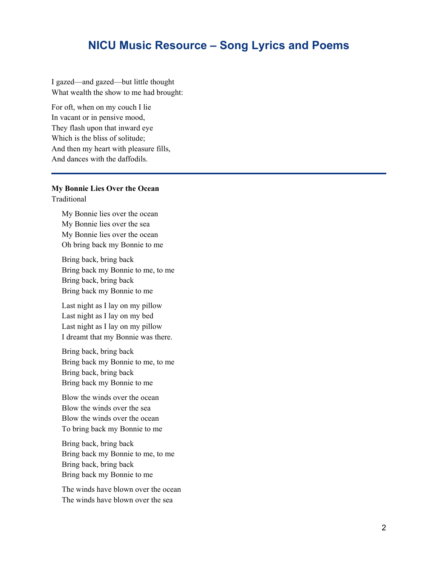I gazed—and gazed—but little thought What wealth the show to me had brought:

For oft, when on my couch I lie In vacant or in pensive mood, They flash upon that inward eye Which is the bliss of solitude; And then my heart with pleasure fills, And dances with the daffodils.

### **My Bonnie Lies Over the Ocean**

Traditional

My Bonnie lies over the ocean My Bonnie lies over the sea My Bonnie lies over the ocean Oh bring back my Bonnie to me

Bring back, bring back Bring back my Bonnie to me, to me Bring back, bring back Bring back my Bonnie to me

Last night as I lay on my pillow Last night as I lay on my bed Last night as I lay on my pillow I dreamt that my Bonnie was there.

Bring back, bring back Bring back my Bonnie to me, to me Bring back, bring back Bring back my Bonnie to me

Blow the winds over the ocean Blow the winds over the sea Blow the winds over the ocean To bring back my Bonnie to me

Bring back, bring back Bring back my Bonnie to me, to me Bring back, bring back Bring back my Bonnie to me

The winds have blown over the ocean The winds have blown over the sea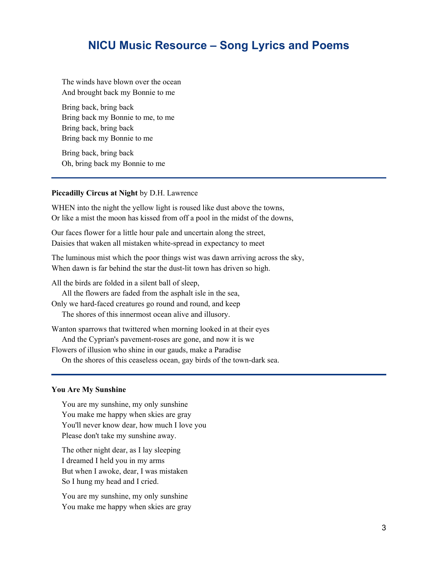The winds have blown over the ocean And brought back my Bonnie to me

Bring back, bring back Bring back my Bonnie to me, to me Bring back, bring back Bring back my Bonnie to me

Bring back, bring back Oh, bring back my Bonnie to me

### **Piccadilly Circus at Night** by D.H. Lawrence

WHEN into the night the yellow light is roused like dust above the towns, Or like a mist the moon has kissed from off a pool in the midst of the downs,

Our faces flower for a little hour pale and uncertain along the street, Daisies that waken all mistaken white-spread in expectancy to meet

The luminous mist which the poor things wist was dawn arriving across the sky, When dawn is far behind the star the dust-lit town has driven so high.

All the birds are folded in a silent ball of sleep, All the flowers are faded from the asphalt isle in the sea, Only we hard-faced creatures go round and round, and keep The shores of this innermost ocean alive and illusory.

Wanton sparrows that twittered when morning looked in at their eyes And the Cyprian's pavement-roses are gone, and now it is we

Flowers of illusion who shine in our gauds, make a Paradise

On the shores of this ceaseless ocean, gay birds of the town-dark sea.

#### **You Are My Sunshine**

You are my sunshine, my only sunshine You make me happy when skies are gray You'll never know dear, how much I love you Please don't take my sunshine away.

The other night dear, as I lay sleeping I dreamed I held you in my arms But when I awoke, dear, I was mistaken So I hung my head and I cried.

You are my sunshine, my only sunshine You make me happy when skies are gray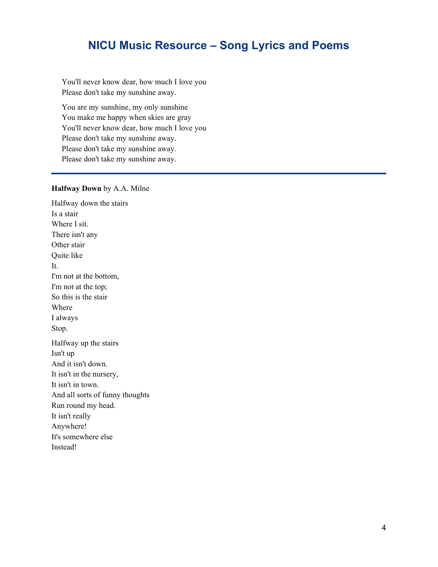You'll never know dear, how much I love you Please don't take my sunshine away.

You are my sunshine, my only sunshine You make me happy when skies are gray You'll never know dear, how much I love you Please don't take my sunshine away. Please don't take my sunshine away. Please don't take my sunshine away.

### **Halfway Down** by A.A. Milne

Halfway down the stairs Is a stair Where I sit. There isn't any Other stair Quite like It. I'm not at the bottom, I'm not at the top; So this is the stair Where I always Stop. Halfway up the stairs Isn't up And it isn't down. It isn't in the nursery, It isn't in town. And all sorts of funny thoughts Run round my head. It isn't really Anywhere! It's somewhere else Instead!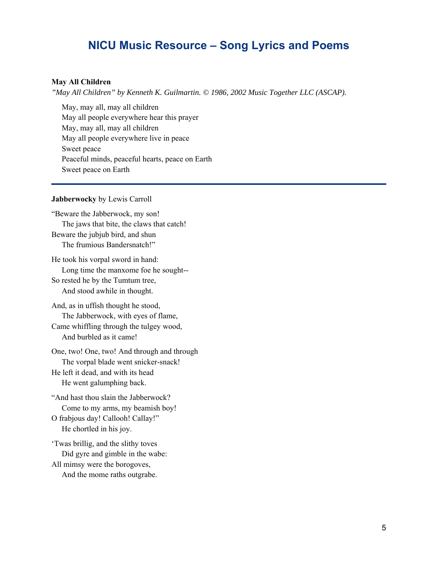### **May All Children**

*"May All Children" by Kenneth K. Guilmartin. © 1986, 2002 Music Together LLC (ASCAP).* 

May, may all, may all children May all people everywhere hear this prayer May, may all, may all children May all people everywhere live in peace Sweet peace Peaceful minds, peaceful hearts, peace on Earth Sweet peace on Earth

#### **Jabberwocky** by Lewis Carroll

"Beware the Jabberwock, my son! The jaws that bite, the claws that catch! Beware the jubjub bird, and shun The frumious Bandersnatch!"

He took his vorpal sword in hand: Long time the manxome foe he sought-- So rested he by the Tumtum tree, And stood awhile in thought.

And, as in uffish thought he stood, The Jabberwock, with eyes of flame, Came whiffling through the tulgey wood, And burbled as it came!

One, two! One, two! And through and through The vorpal blade went snicker-snack!

He left it dead, and with its head He went galumphing back.

"And hast thou slain the Jabberwock? Come to my arms, my beamish boy!

O frabjous day! Callooh! Callay!" He chortled in his joy.

'Twas brillig, and the slithy toves Did gyre and gimble in the wabe:

All mimsy were the borogoves, And the mome raths outgrabe.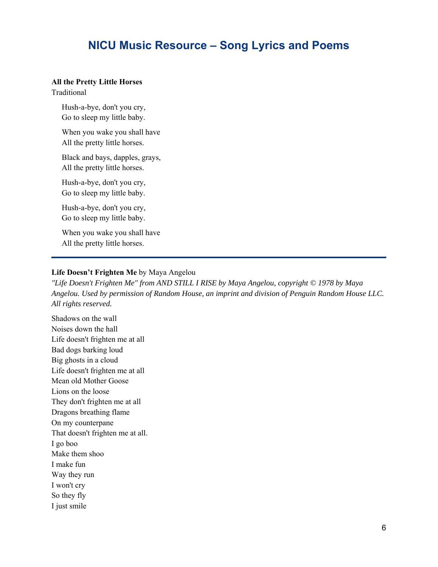### **All the Pretty Little Horses**

Traditional

Hush-a-bye, don't you cry, Go to sleep my little baby.

When you wake you shall have All the pretty little horses.

Black and bays, dapples, grays, All the pretty little horses.

Hush-a-bye, don't you cry, Go to sleep my little baby.

Hush-a-bye, don't you cry, Go to sleep my little baby.

When you wake you shall have All the pretty little horses.

### **Life Doesn't Frighten Me** by Maya Angelou

*"Life Doesn't Frighten Me" from AND STILL I RISE by Maya Angelou, copyright © 1978 by Maya Angelou. Used by permission of Random House, an imprint and division of Penguin Random House LLC. All rights reserved.* 

Shadows on the wall Noises down the hall Life doesn't frighten me at all Bad dogs barking loud Big ghosts in a cloud Life doesn't frighten me at all Mean old Mother Goose Lions on the loose They don't frighten me at all Dragons breathing flame On my counterpane That doesn't frighten me at all. I go boo Make them shoo I make fun Way they run I won't cry So they fly I just smile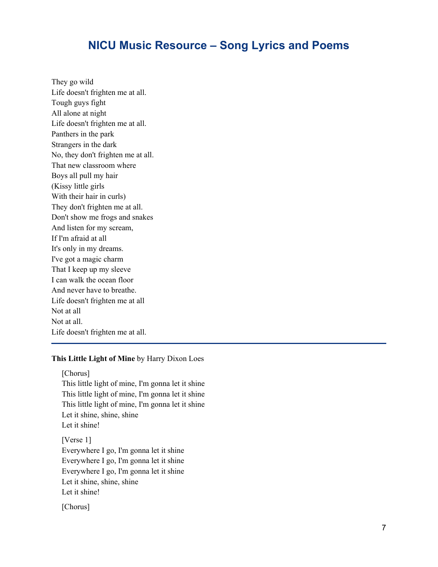They go wild Life doesn't frighten me at all. Tough guys fight All alone at night Life doesn't frighten me at all. Panthers in the park Strangers in the dark No, they don't frighten me at all. That new classroom where Boys all pull my hair (Kissy little girls With their hair in curls) They don't frighten me at all. Don't show me frogs and snakes And listen for my scream, If I'm afraid at all It's only in my dreams. I've got a magic charm That I keep up my sleeve I can walk the ocean floor And never have to breathe. Life doesn't frighten me at all Not at all Not at all. Life doesn't frighten me at all.

### **This Little Light of Mine** by Harry Dixon Loes

## [Chorus]

This little light of mine, I'm gonna let it shine This little light of mine, I'm gonna let it shine This little light of mine, I'm gonna let it shine Let it shine, shine, shine Let it shine!

[Verse 1] Everywhere I go, I'm gonna let it shine Everywhere I go, I'm gonna let it shine Everywhere I go, I'm gonna let it shine Let it shine, shine, shine Let it shine!

[Chorus]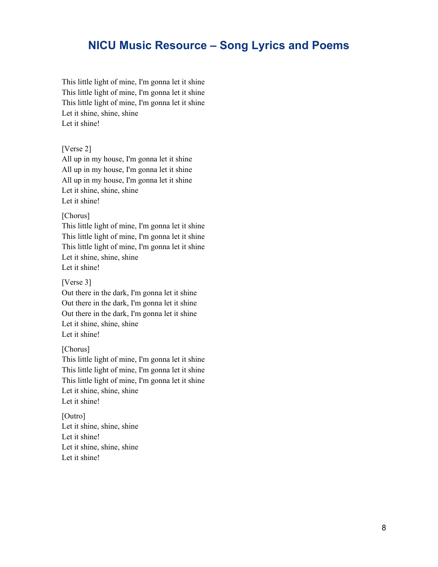This little light of mine, I'm gonna let it shine This little light of mine, I'm gonna let it shine This little light of mine, I'm gonna let it shine Let it shine, shine, shine Let it shine!

#### [Verse 2]

All up in my house, I'm gonna let it shine All up in my house, I'm gonna let it shine All up in my house, I'm gonna let it shine Let it shine, shine, shine Let it shine!

#### [Chorus]

This little light of mine, I'm gonna let it shine This little light of mine, I'm gonna let it shine This little light of mine, I'm gonna let it shine Let it shine, shine, shine Let it shine!

#### [Verse 3]

Out there in the dark, I'm gonna let it shine Out there in the dark, I'm gonna let it shine Out there in the dark, I'm gonna let it shine Let it shine, shine, shine Let it shine!

#### [Chorus]

This little light of mine, I'm gonna let it shine This little light of mine, I'm gonna let it shine This little light of mine, I'm gonna let it shine Let it shine, shine, shine Let it shine!

### [Outro] Let it shine, shine, shine Let it shine! Let it shine, shine, shine Let it shine!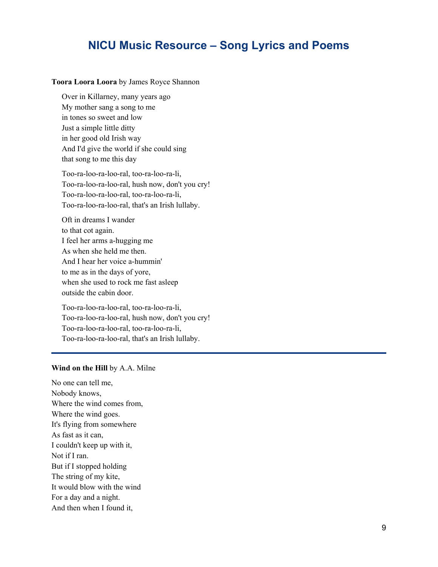#### **Toora Loora Loora** by James Royce Shannon

Over in Killarney, many years ago My mother sang a song to me in tones so sweet and low Just a simple little ditty in her good old Irish way And I'd give the world if she could sing that song to me this day

Too-ra-loo-ra-loo-ral, too-ra-loo-ra-li, Too-ra-loo-ra-loo-ral, hush now, don't you cry! Too-ra-loo-ra-loo-ral, too-ra-loo-ra-li, Too-ra-loo-ra-loo-ral, that's an Irish lullaby.

Oft in dreams I wander to that cot again. I feel her arms a-hugging me As when she held me then. And I hear her voice a-hummin' to me as in the days of yore, when she used to rock me fast asleep outside the cabin door.

Too-ra-loo-ra-loo-ral, too-ra-loo-ra-li, Too-ra-loo-ra-loo-ral, hush now, don't you cry! Too-ra-loo-ra-loo-ral, too-ra-loo-ra-li, Too-ra-loo-ra-loo-ral, that's an Irish lullaby.

#### **Wind on the Hill** by A.A. Milne

No one can tell me, Nobody knows, Where the wind comes from, Where the wind goes. It's flying from somewhere As fast as it can, I couldn't keep up with it, Not if I ran. But if I stopped holding The string of my kite, It would blow with the wind For a day and a night. And then when I found it,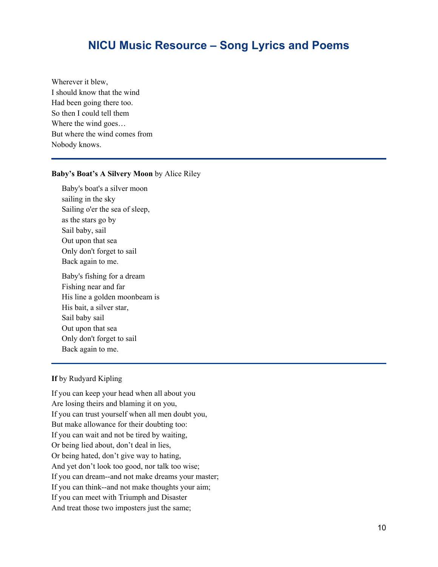Wherever it blew, I should know that the wind Had been going there too. So then I could tell them Where the wind goes… But where the wind comes from Nobody knows.

#### **Baby's Boat's A Silvery Moon** by Alice Riley

Baby's boat's a silver moon sailing in the sky Sailing o'er the sea of sleep, as the stars go by Sail baby, sail Out upon that sea Only don't forget to sail Back again to me.

Baby's fishing for a dream Fishing near and far His line a golden moonbeam is His bait, a silver star, Sail baby sail Out upon that sea Only don't forget to sail Back again to me.

### **If** by Rudyard Kipling

If you can keep your head when all about you Are losing theirs and blaming it on you, If you can trust yourself when all men doubt you, But make allowance for their doubting too: If you can wait and not be tired by waiting, Or being lied about, don't deal in lies, Or being hated, don't give way to hating, And yet don't look too good, nor talk too wise; If you can dream--and not make dreams your master; If you can think--and not make thoughts your aim; If you can meet with Triumph and Disaster And treat those two imposters just the same;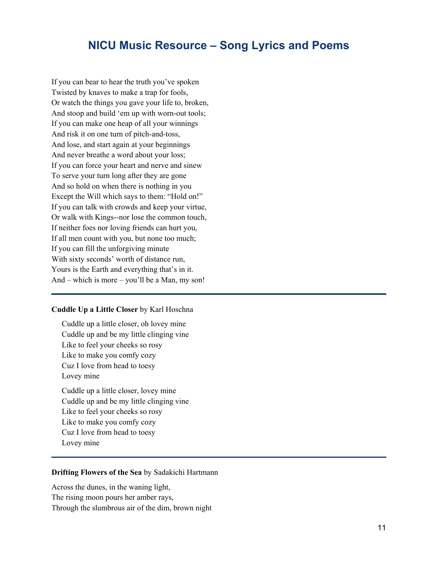If you can bear to hear the truth you've spoken Twisted by knaves to make a trap for fools, Or watch the things you gave your life to, broken, And stoop and build 'em up with worn-out tools; If you can make one heap of all your winnings And risk it on one turn of pitch-and-toss, And lose, and start again at your beginnings And never breathe a word about your loss; If you can force your heart and nerve and sinew To serve your turn long after they are gone And so hold on when there is nothing in you Except the Will which says to them: "Hold on!" If you can talk with crowds and keep your virtue, Or walk with Kings--nor lose the common touch, If neither foes nor loving friends can hurt you, If all men count with you, but none too much; If you can fill the unforgiving minute With sixty seconds' worth of distance run, Yours is the Earth and everything that's in it. And – which is more – you'll be a Man, my son!

### **Cuddle Up a Little Closer** by Karl Hoschna

Cuddle up a little closer, oh lovey mine Cuddle up and be my little clinging vine Like to feel your cheeks so rosy Like to make you comfy cozy Cuz I love from head to toesy Lovey mine

Cuddle up a little closer, lovey mine Cuddle up and be my little clinging vine Like to feel your cheeks so rosy Like to make you comfy cozy Cuz I love from head to toesy Lovey mine

### **Drifting Flowers of the Sea** by Sadakichi Hartmann

Across the dunes, in the waning light, The rising moon pours her amber rays, Through the slumbrous air of the dim, brown night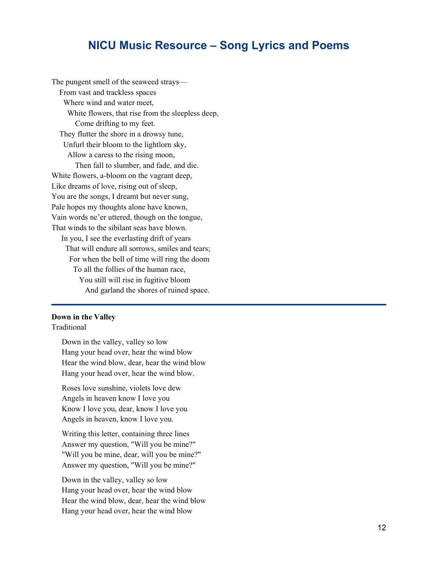The pungent smell of the seaweed strays— From vast and trackless spaces Where wind and water meet, White flowers, that rise from the sleepless deep, Come drifting to my feet. They flutter the shore in a drowsy tune, Unfurl their bloom to the lightlorn sky, Allow a caress to the rising moon, Then fall to slumber, and fade, and die. White flowers, a-bloom on the vagrant deep, Like dreams of love, rising out of sleep, You are the songs, I dreamt but never sung, Pale hopes my thoughts alone have known, Vain words ne'er uttered, though on the tongue, That winds to the sibilant seas have blown. In you, I see the everlasting drift of years That will endure all sorrows, smiles and tears; For when the bell of time will ring the doom To all the follies of the human race, You still will rise in fugitive bloom And garland the shores of ruined space.

### **Down in the Valley**

Traditional

Down in the valley, valley so low Hang your head over, hear the wind blow Hear the wind blow, dear, hear the wind blow Hang your head over, hear the wind blow.

Roses love sunshine, violets love dew Angels in heaven know I love you Know I love you, dear, know I love you Angels in heaven, know I love you.

Writing this letter, containing three lines Answer my question, "Will you be mine?" "Will you be mine, dear, will you be mine?" Answer my question, "Will you be mine?"

Down in the valley, valley so low Hang your head over, hear the wind blow Hear the wind blow, dear, hear the wind blow Hang your head over, hear the wind blow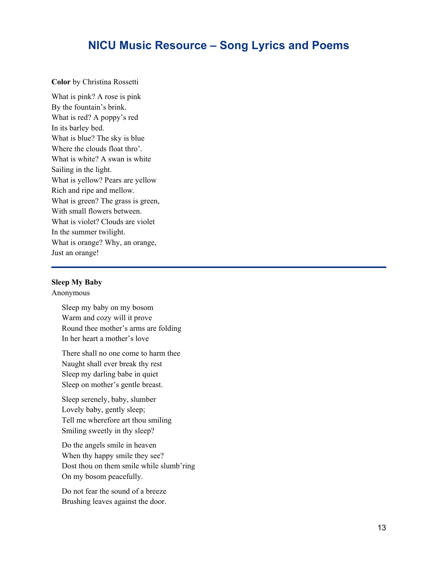**Color** by Christina Rossetti

What is pink? A rose is pink By the fountain's brink. What is red? A poppy's red In its barley bed. What is blue? The sky is blue Where the clouds float thro'. What is white? A swan is white Sailing in the light. What is yellow? Pears are yellow Rich and ripe and mellow. What is green? The grass is green, With small flowers between. What is violet? Clouds are violet In the summer twilight. What is orange? Why, an orange, Just an orange!

#### **Sleep My Baby**

Anonymous

Sleep my baby on my bosom Warm and cozy will it prove Round thee mother's arms are folding In her heart a mother's love

There shall no one come to harm thee Naught shall ever break thy rest Sleep my darling babe in quiet Sleep on mother's gentle breast.

Sleep serenely, baby, slumber Lovely baby, gently sleep; Tell me wherefore art thou smiling Smiling sweetly in thy sleep?

Do the angels smile in heaven When thy happy smile they see? Dost thou on them smile while slumb'ring On my bosom peacefully.

Do not fear the sound of a breeze Brushing leaves against the door.